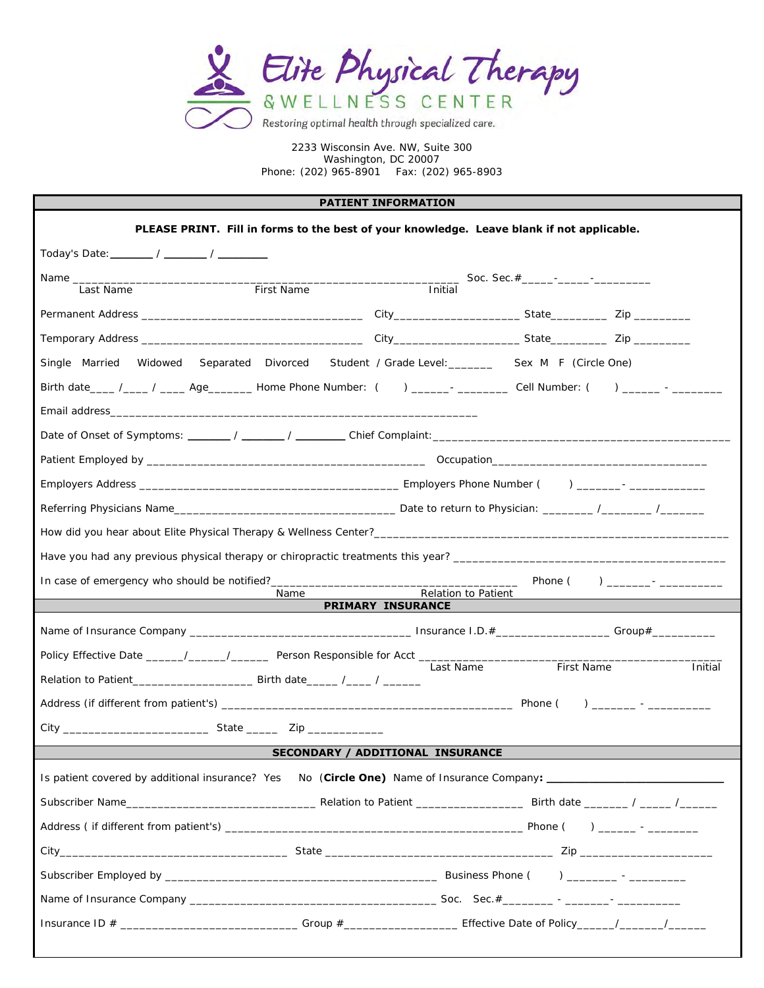

#### **PATIENT INFORMATION**

| PLEASE PRINT. Fill in forms to the best of your knowledge. Leave blank if not applicable.                       |                                                 |                       |
|-----------------------------------------------------------------------------------------------------------------|-------------------------------------------------|-----------------------|
|                                                                                                                 |                                                 |                       |
|                                                                                                                 |                                                 |                       |
| First Name<br>Last Name                                                                                         | Initial                                         |                       |
|                                                                                                                 |                                                 |                       |
|                                                                                                                 |                                                 |                       |
| Single Married Widowed Separated Divorced Student / Grade Level: ________ Sex M F (Circle One)                  |                                                 |                       |
| Birth date____ /____ / ____ Age_______ Home Phone Number: () ______- _________ Cell Number: () ______ - _______ |                                                 |                       |
|                                                                                                                 |                                                 |                       |
|                                                                                                                 |                                                 |                       |
|                                                                                                                 |                                                 |                       |
|                                                                                                                 |                                                 |                       |
|                                                                                                                 |                                                 |                       |
|                                                                                                                 |                                                 |                       |
|                                                                                                                 |                                                 |                       |
|                                                                                                                 |                                                 |                       |
| Name                                                                                                            | Relation to Patient<br><b>PRIMARY INSURANCE</b> |                       |
|                                                                                                                 |                                                 |                       |
| Policy Effective Date ______/_____/_______/ Person Responsible for Acct ____________________________            |                                                 |                       |
|                                                                                                                 | Last Name                                       | First Name<br>Initial |
|                                                                                                                 |                                                 |                       |
|                                                                                                                 |                                                 |                       |
|                                                                                                                 | <b>SECONDARY / ADDITIONAL INSURANCE</b>         |                       |
| Is patient covered by additional insurance? Yes No (Circle One) Name of Insurance Company:                      |                                                 |                       |
|                                                                                                                 |                                                 |                       |
|                                                                                                                 |                                                 |                       |
|                                                                                                                 |                                                 |                       |
|                                                                                                                 |                                                 |                       |
|                                                                                                                 |                                                 |                       |
|                                                                                                                 |                                                 |                       |
|                                                                                                                 |                                                 |                       |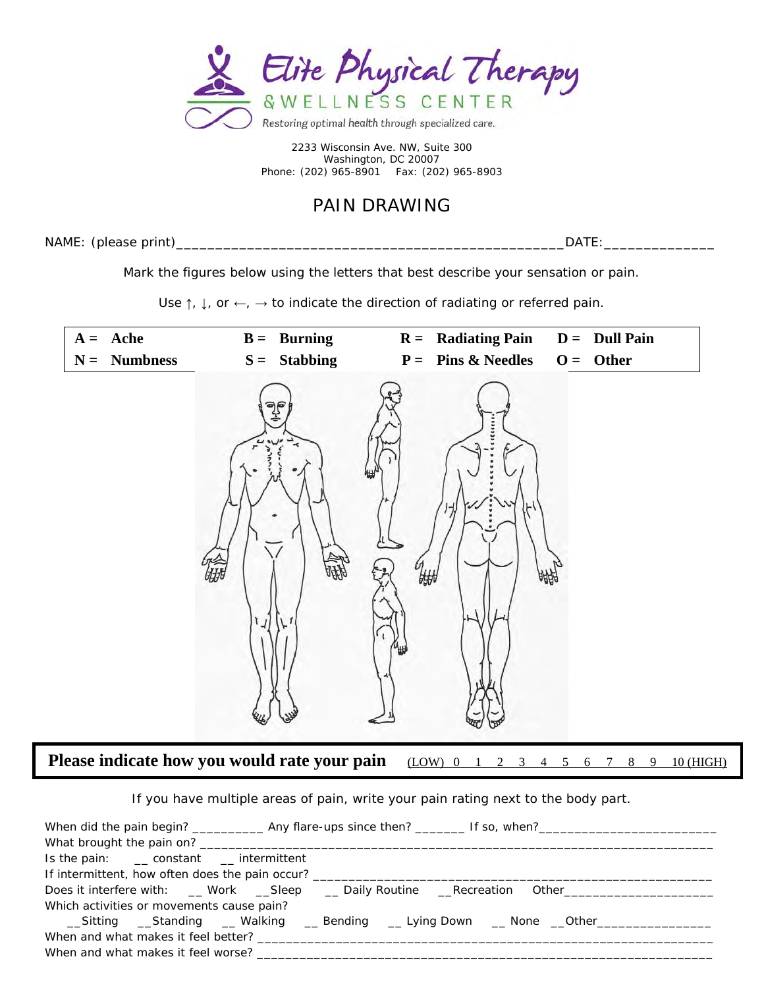

# PAIN DRAWING

NAME: (please print)\_\_\_\_\_\_\_\_\_\_\_\_\_\_\_\_\_\_\_\_\_\_\_\_\_\_\_\_\_\_\_\_\_\_\_\_\_\_\_\_\_\_\_\_\_\_\_\_\_DATE:\_\_\_\_\_\_\_\_\_\_\_\_\_\_

Mark the figures below using the letters that best describe your sensation or pain.

Use  $\uparrow$ ,  $\downarrow$ , or  $\leftarrow$ ,  $\rightarrow$  to indicate the direction of radiating or referred pain.



If you have multiple areas of pain, write your pain rating next to the body part.

| Is the pain: _____ constant ____ intermittent                                            |  |
|------------------------------------------------------------------------------------------|--|
|                                                                                          |  |
| Does it interfere with: __Work __Sleep __Daily Routine __Recreation Other_______________ |  |
| Which activities or movements cause pain?                                                |  |
| __Sitting __Standing __Walking __Bending __Lying Down __None __Other____________         |  |
|                                                                                          |  |
| When and what makes it feel worse?                                                       |  |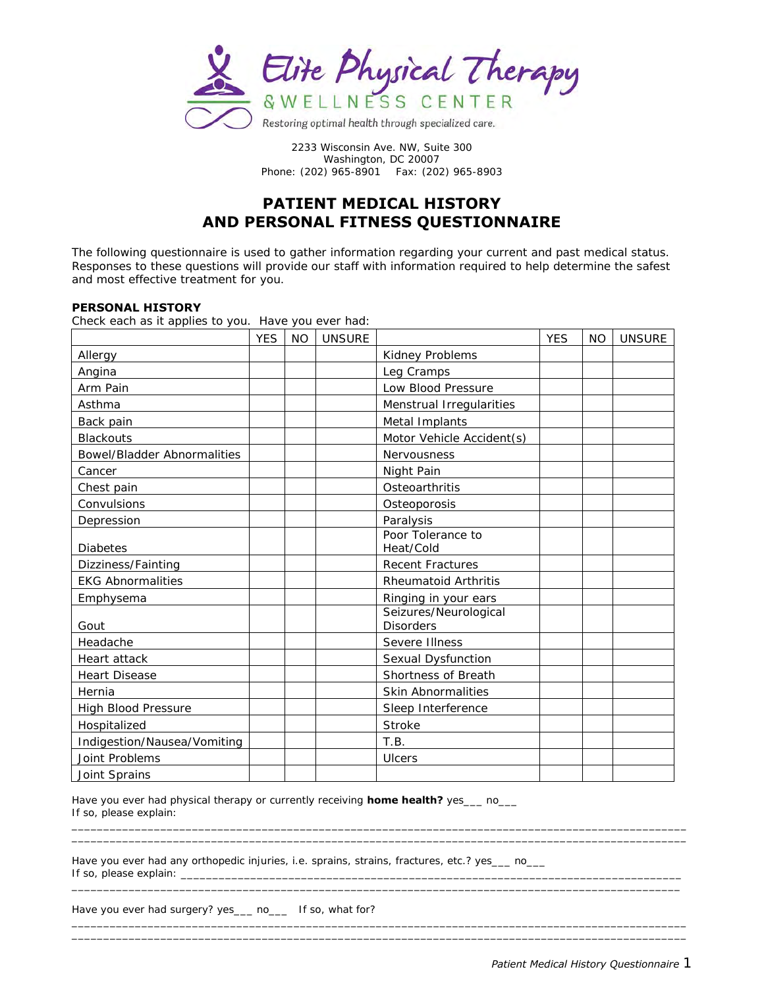

### **PATIENT MEDICAL HISTORY AND PERSONAL FITNESS QUESTIONNAIRE**

The following questionnaire is used to gather information regarding your current and past medical status. Responses to these questions will provide our staff with information required to help determine the safest and most effective treatment for you.

#### **PERSONAL HISTORY**

Check each as it applies to you. Have you ever had:

|                             | <b>YES</b> | <b>NO</b> | <b>UNSURE</b> |                                           | <b>YES</b> | <b>NO</b> | <b>UNSURE</b> |
|-----------------------------|------------|-----------|---------------|-------------------------------------------|------------|-----------|---------------|
| Allergy                     |            |           |               | Kidney Problems                           |            |           |               |
| Angina                      |            |           |               | Leg Cramps                                |            |           |               |
| Arm Pain                    |            |           |               | Low Blood Pressure                        |            |           |               |
| Asthma                      |            |           |               | Menstrual Irregularities                  |            |           |               |
| Back pain                   |            |           |               | Metal Implants                            |            |           |               |
| <b>Blackouts</b>            |            |           |               | Motor Vehicle Accident(s)                 |            |           |               |
| Bowel/Bladder Abnormalities |            |           |               | Nervousness                               |            |           |               |
| Cancer                      |            |           |               | Night Pain                                |            |           |               |
| Chest pain                  |            |           |               | Osteoarthritis                            |            |           |               |
| Convulsions                 |            |           |               | Osteoporosis                              |            |           |               |
| Depression                  |            |           |               | Paralysis                                 |            |           |               |
| Diabetes                    |            |           |               | Poor Tolerance to<br>Heat/Cold            |            |           |               |
| Dizziness/Fainting          |            |           |               | Recent Fractures                          |            |           |               |
| <b>EKG Abnormalities</b>    |            |           |               | Rheumatoid Arthritis                      |            |           |               |
| Emphysema                   |            |           |               | Ringing in your ears                      |            |           |               |
| Gout                        |            |           |               | Seizures/Neurological<br><b>Disorders</b> |            |           |               |
| Headache                    |            |           |               | Severe Illness                            |            |           |               |
| Heart attack                |            |           |               | Sexual Dysfunction                        |            |           |               |
| <b>Heart Disease</b>        |            |           |               | Shortness of Breath                       |            |           |               |
| Hernia                      |            |           |               | Skin Abnormalities                        |            |           |               |
| High Blood Pressure         |            |           |               | Sleep Interference                        |            |           |               |
| Hospitalized                |            |           |               | Stroke                                    |            |           |               |
| Indigestion/Nausea/Vomiting |            |           |               | T.B.                                      |            |           |               |
| Joint Problems              |            |           |               | Ulcers                                    |            |           |               |
| Joint Sprains               |            |           |               |                                           |            |           |               |

\_\_\_\_\_\_\_\_\_\_\_\_\_\_\_\_\_\_\_\_\_\_\_\_\_\_\_\_\_\_\_\_\_\_\_\_\_\_\_\_\_\_\_\_\_\_\_\_\_\_\_\_\_\_\_\_\_\_\_\_\_\_\_\_\_\_\_\_\_\_\_\_\_\_\_\_\_\_\_\_\_\_\_\_\_\_\_\_\_\_\_\_\_\_\_\_\_

\_\_\_\_\_\_\_\_\_\_\_\_\_\_\_\_\_\_\_\_\_\_\_\_\_\_\_\_\_\_\_\_\_\_\_\_\_\_\_\_\_\_\_\_\_\_\_\_\_\_\_\_\_\_\_\_\_\_\_\_\_\_\_\_\_\_\_\_\_\_\_\_\_\_\_\_\_\_\_\_\_\_\_\_\_\_\_\_\_\_\_\_\_\_\_\_

 $\_$  ,  $\_$  ,  $\_$  ,  $\_$  ,  $\_$  ,  $\_$  ,  $\_$  ,  $\_$  ,  $\_$  ,  $\_$  ,  $\_$  ,  $\_$  ,  $\_$  ,  $\_$  ,  $\_$  ,  $\_$  ,  $\_$  ,  $\_$  ,  $\_$  ,  $\_$  ,  $\_$  ,  $\_$  ,  $\_$  ,  $\_$  ,  $\_$  ,  $\_$  ,  $\_$  ,  $\_$  ,  $\_$  ,  $\_$  ,  $\_$  ,  $\_$  ,  $\_$  ,  $\_$  ,  $\_$  ,  $\_$  ,  $\_$  ,  $\_$  ,  $\_$  ,  $\_$  ,  $\_$  ,  $\_$  ,  $\_$  ,  $\_$  ,  $\_$  ,  $\_$  ,  $\_$  ,  $\_$  ,  $\_$  ,  $\_$  ,  $\_$  ,  $\_$  ,  $\_$  ,  $\_$  ,  $\_$  ,  $\_$  ,  $\_$  ,  $\_$  ,  $\_$  ,  $\_$  ,  $\_$  ,  $\_$  ,  $\_$  ,  $\_$  ,  $\_$  ,  $\_$  ,  $\_$  ,  $\_$  ,  $\_$  ,  $\_$  ,  $\_$  ,  $\_$  ,  $\_$  ,  $\_$  ,

Have you ever had physical therapy or currently receiving **home health?** yes\_\_\_ no\_\_\_ If so, please explain:  $\_$  ,  $\_$  ,  $\_$  ,  $\_$  ,  $\_$  ,  $\_$  ,  $\_$  ,  $\_$  ,  $\_$  ,  $\_$  ,  $\_$  ,  $\_$  ,  $\_$  ,  $\_$  ,  $\_$  ,  $\_$  ,  $\_$  ,  $\_$  ,  $\_$  ,  $\_$  ,  $\_$  ,  $\_$  ,  $\_$  ,  $\_$  ,  $\_$  ,  $\_$  ,  $\_$  ,  $\_$  ,  $\_$  ,  $\_$  ,  $\_$  ,  $\_$  ,  $\_$  ,  $\_$  ,  $\_$  ,  $\_$  ,  $\_$  ,

Have you ever had any orthopedic injuries, i.e. sprains, strains, fractures, etc.? yes\_\_\_ no\_\_\_ If so, please explain:  $\overline{\phantom{a}}$ 

Have you ever had surgery? yes\_\_\_ no\_\_\_ If so, what for?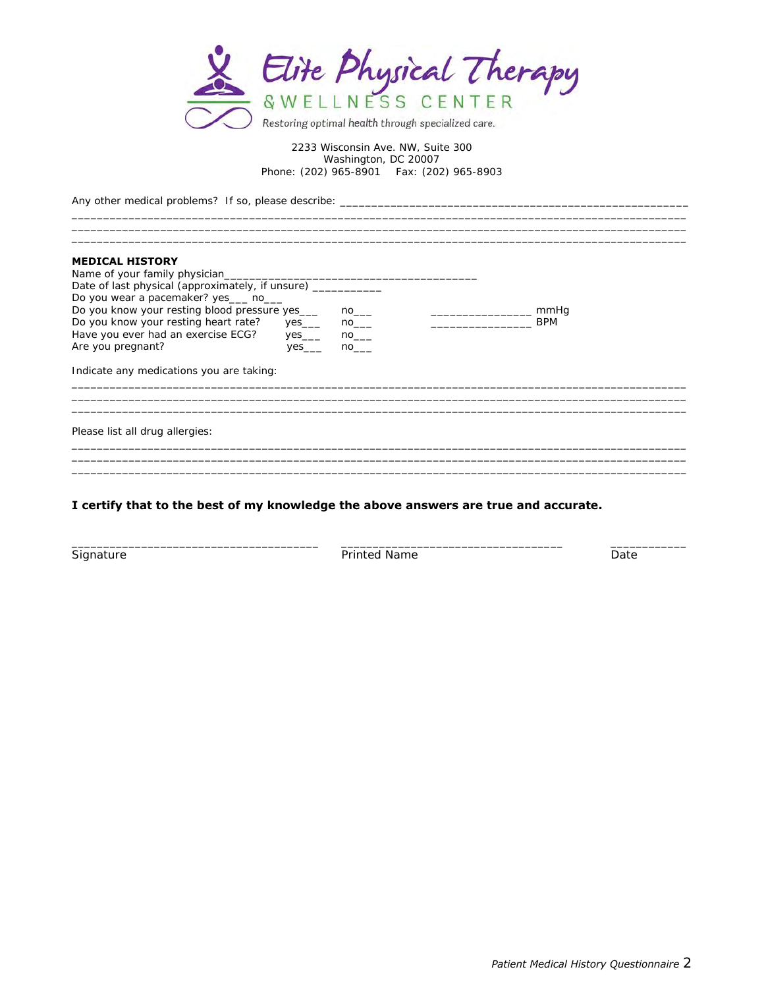

 $\_$  ,  $\_$  ,  $\_$  ,  $\_$  ,  $\_$  ,  $\_$  ,  $\_$  ,  $\_$  ,  $\_$  ,  $\_$  ,  $\_$  ,  $\_$  ,  $\_$  ,  $\_$  ,  $\_$  ,  $\_$  ,  $\_$  ,  $\_$  ,  $\_$  ,  $\_$  ,  $\_$  ,  $\_$  ,  $\_$  ,  $\_$  ,  $\_$  ,  $\_$  ,  $\_$  ,  $\_$  ,  $\_$  ,  $\_$  ,  $\_$  ,  $\_$  ,  $\_$  ,  $\_$  ,  $\_$  ,  $\_$  ,  $\_$  ,  $\_$  ,  $\_$  ,  $\_$  ,  $\_$  ,  $\_$  ,  $\_$  ,  $\_$  ,  $\_$  ,  $\_$  ,  $\_$  ,  $\_$  ,  $\_$  ,  $\_$  ,  $\_$  ,  $\_$  ,  $\_$  ,  $\_$  ,  $\_$  ,  $\_$  ,  $\_$  ,  $\_$  ,  $\_$  ,  $\_$  ,  $\_$  ,  $\_$  ,  $\_$  ,  $\_$  ,  $\_$  ,  $\_$  ,  $\_$  ,  $\_$  ,  $\_$  ,  $\_$  ,  $\_$  ,  $\_$  ,  $\_$  ,  $\_$  ,  $\_$  ,  $\_$  ,  $\_$  ,  $\_$  ,  $\_$  ,  $\_$  ,  $\_$  ,  $\_$  ,  $\_$  ,  $\_$  ,  $\_$  ,  $\_$  ,  $\_$  ,  $\_$  ,  $\_$  ,  $\_$  ,  $\_$  ,  $\_$  ,  $\_$  ,  $\_$  ,  $\_$  ,  $\_$  ,  $\_$  ,  $\_$  ,  $\_$  ,  $\_$  ,  $\_$  ,  $\_$  ,  $\_$  ,  $\_$  ,  $\_$  ,  $\_$  ,  $\_$  ,  $\_$  ,  $\_$  ,  $\_$  ,  $\_$  ,

Any other medical problems? If so, please describe:  $\_\_$ 

#### **MEDICAL HISTORY**  Name of your family physician\_ Date of last physical (approximately, if unsure) \_\_\_\_\_\_\_\_\_\_\_ Do you wear a pacemaker? yes

| Indicate any medications you are taking:     |         |    |            |
|----------------------------------------------|---------|----|------------|
| Are you pregnant?                            | yes___  | no |            |
| Have you ever had an exercise ECG?           | yes____ | no |            |
| Do you know your resting heart rate?         | yes__   | no | <b>BPM</b> |
| Do you know your resting blood pressure yes  |         | no | mmHa       |
| DO you wear a pacernaner: yes _____ rio_____ |         |    |            |

Please list all drug allergies:

### **I certify that to the best of my knowledge the above answers are true and accurate.**

\_\_\_\_\_\_\_\_\_\_\_\_\_\_\_\_\_\_\_\_\_\_\_\_\_\_\_\_\_\_\_\_\_\_\_\_\_\_\_ \_\_\_\_\_\_\_\_\_\_\_\_\_\_\_\_\_\_\_\_\_\_\_\_\_\_\_\_\_\_\_\_\_\_\_ \_\_\_\_\_\_\_\_\_\_\_\_ Signature **Printed Name** Printed Name **Date** Date **Date** 

 $\_$  ,  $\_$  ,  $\_$  ,  $\_$  ,  $\_$  ,  $\_$  ,  $\_$  ,  $\_$  ,  $\_$  ,  $\_$  ,  $\_$  ,  $\_$  ,  $\_$  ,  $\_$  ,  $\_$  ,  $\_$  ,  $\_$  ,  $\_$  ,  $\_$  ,  $\_$  ,  $\_$  ,  $\_$  ,  $\_$  ,  $\_$  ,  $\_$  ,  $\_$  ,  $\_$  ,  $\_$  ,  $\_$  ,  $\_$  ,  $\_$  ,  $\_$  ,  $\_$  ,  $\_$  ,  $\_$  ,  $\_$  ,  $\_$  ,

 $\_$  ,  $\_$  ,  $\_$  ,  $\_$  ,  $\_$  ,  $\_$  ,  $\_$  ,  $\_$  ,  $\_$  ,  $\_$  ,  $\_$  ,  $\_$  ,  $\_$  ,  $\_$  ,  $\_$  ,  $\_$  ,  $\_$  ,  $\_$  ,  $\_$  ,  $\_$  ,  $\_$  ,  $\_$  ,  $\_$  ,  $\_$  ,  $\_$  ,  $\_$  ,  $\_$  ,  $\_$  ,  $\_$  ,  $\_$  ,  $\_$  ,  $\_$  ,  $\_$  ,  $\_$  ,  $\_$  ,  $\_$  ,  $\_$  ,  $\_$  ,  $\_$  ,  $\_$  ,  $\_$  ,  $\_$  ,  $\_$  ,  $\_$  ,  $\_$  ,  $\_$  ,  $\_$  ,  $\_$  ,  $\_$  ,  $\_$  ,  $\_$  ,  $\_$  ,  $\_$  ,  $\_$  ,  $\_$  ,  $\_$  ,  $\_$  ,  $\_$  ,  $\_$  ,  $\_$  ,  $\_$  ,  $\_$  ,  $\_$  ,  $\_$  ,  $\_$  ,  $\_$  ,  $\_$  ,  $\_$  ,  $\_$  ,  $\_$  ,  $\_$  ,  $\_$  ,  $\_$  ,  $\_$  ,  $\_$  ,  $\_$  ,  $\_$  ,  $\_$  ,  $\_$  ,  $\_$  ,  $\_$  ,  $\_$  ,  $\_$  ,  $\_$  ,  $\_$  ,  $\_$  ,  $\_$  ,  $\_$  ,  $\_$  ,  $\_$  ,  $\_$  ,  $\_$  ,  $\_$  ,  $\_$  ,  $\_$  ,  $\_$  ,  $\_$  ,  $\_$  ,  $\_$  ,  $\_$  ,  $\_$  ,  $\_$  ,  $\_$  ,  $\_$  ,  $\_$  ,  $\_$  ,  $\_$  ,  $\_$  ,  $\_$  ,  $\_$  ,  $\_$  ,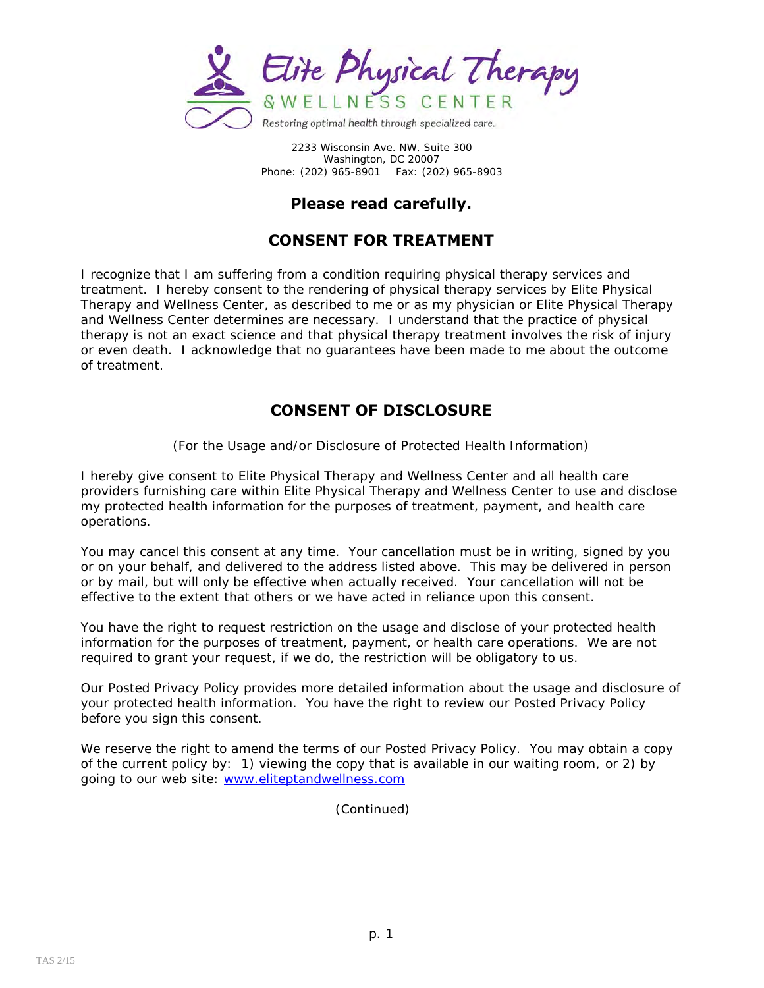

## **Please read carefully.**

## **CONSENT FOR TREATMENT**

I recognize that I am suffering from a condition requiring physical therapy services and treatment. I hereby consent to the rendering of physical therapy services by Elite Physical Therapy and Wellness Center, as described to me or as my physician or Elite Physical Therapy and Wellness Center determines are necessary. I understand that the practice of physical therapy is not an exact science and that physical therapy treatment involves the risk of injury or even death. I acknowledge that no guarantees have been made to me about the outcome of treatment.

## **CONSENT OF DISCLOSURE**

(For the Usage and/or Disclosure of Protected Health Information)

I hereby give consent to Elite Physical Therapy and Wellness Center and all health care providers furnishing care within Elite Physical Therapy and Wellness Center to use and disclose my protected health information for the purposes of treatment, payment, and health care operations.

You may cancel this consent at any time. Your cancellation must be in writing, signed by you or on your behalf, and delivered to the address listed above. This may be delivered in person or by mail, but will only be effective when actually received. Your cancellation will not be effective to the extent that others or we have acted in reliance upon this consent.

You have the right to request restriction on the usage and disclose of your protected health information for the purposes of treatment, payment, or health care operations. We are not required to grant your request, if we do, the restriction will be obligatory to us.

Our Posted Privacy Policy provides more detailed information about the usage and disclosure of your protected health information. You have the right to review our Posted Privacy Policy before you sign this consent.

We reserve the right to amend the terms of our Posted Privacy Policy. You may obtain a copy of the current policy by: 1) viewing the copy that is available in our waiting room, or 2) by going to our web site: [www.eliteptandwellness.com](http://www.eliteptandwellness.com/)

(Continued)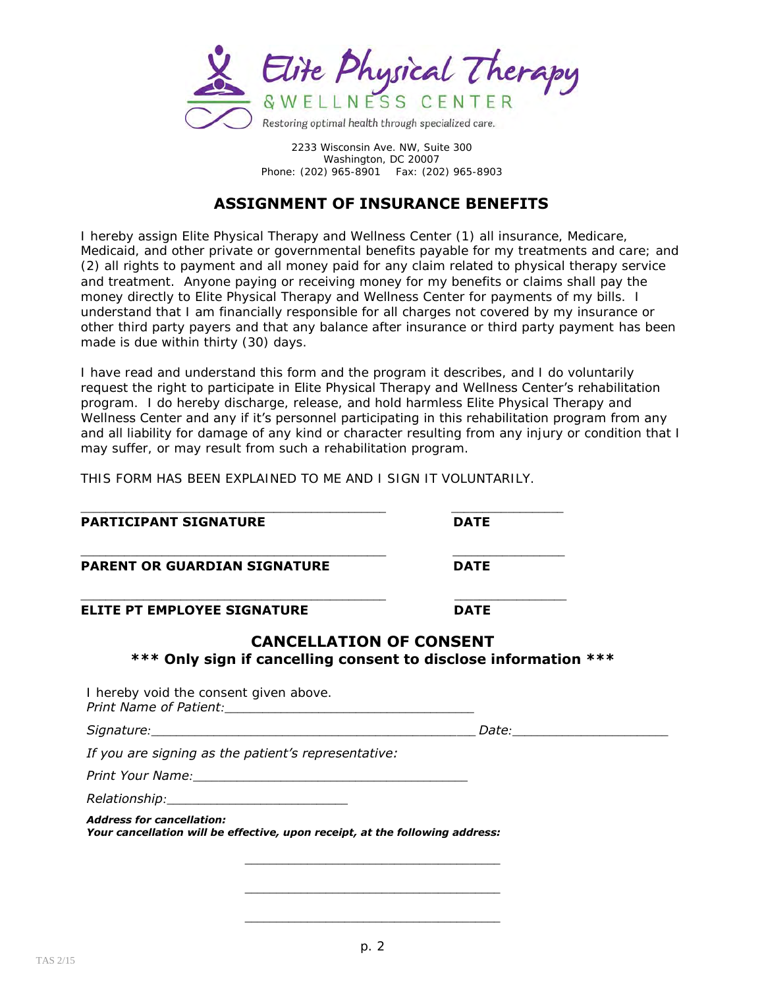

## **ASSIGNMENT OF INSURANCE BENEFITS**

I hereby assign Elite Physical Therapy and Wellness Center (1) all insurance, Medicare, Medicaid, and other private or governmental benefits payable for my treatments and care; and (2) all rights to payment and all money paid for any claim related to physical therapy service and treatment. Anyone paying or receiving money for my benefits or claims shall pay the money directly to Elite Physical Therapy and Wellness Center for payments of my bills. I understand that I am financially responsible for all charges not covered by my insurance or other third party payers and that any balance after insurance or third party payment has been made is due within thirty (30) days.

I have read and understand this form and the program it describes, and I do voluntarily request the right to participate in Elite Physical Therapy and Wellness Center's rehabilitation program. I do hereby discharge, release, and hold harmless Elite Physical Therapy and Wellness Center and any if it's personnel participating in this rehabilitation program from any and all liability for damage of any kind or character resulting from any injury or condition that I may suffer, or may result from such a rehabilitation program.

THIS FORM HAS BEEN EXPLAINED TO ME AND I SIGN IT VOLUNTARILY.

\_\_\_\_\_\_\_\_\_\_\_\_\_\_\_\_\_\_\_\_\_\_\_\_\_\_\_\_\_\_\_\_\_\_\_\_\_\_\_\_\_\_\_\_\_\_\_\_\_ \_\_\_\_\_\_\_\_\_\_\_\_\_\_\_\_\_\_

| <b>PARTICIPANT SIGNATURE</b>                                                                      | <b>DATE</b>                   |  |
|---------------------------------------------------------------------------------------------------|-------------------------------|--|
| <b>PARENT OR GUARDIAN SIGNATURE</b>                                                               | <b>DATE</b>                   |  |
| <b>ELITE PT EMPLOYEE SIGNATURE</b>                                                                | <b>DATE</b>                   |  |
| <b>CANCELLATION OF CONSENT</b><br>*** Only sign if cancelling consent to disclose information *** |                               |  |
| I hereby void the consent given above.                                                            |                               |  |
|                                                                                                   | Date: _______________________ |  |
| If you are signing as the patient's representative:                                               |                               |  |
|                                                                                                   |                               |  |
|                                                                                                   |                               |  |
|                                                                                                   |                               |  |

*\_\_\_\_\_\_\_\_\_\_\_\_\_\_\_\_\_\_\_\_\_\_\_\_\_\_\_\_\_\_\_\_\_\_\_\_\_\_\_\_\_*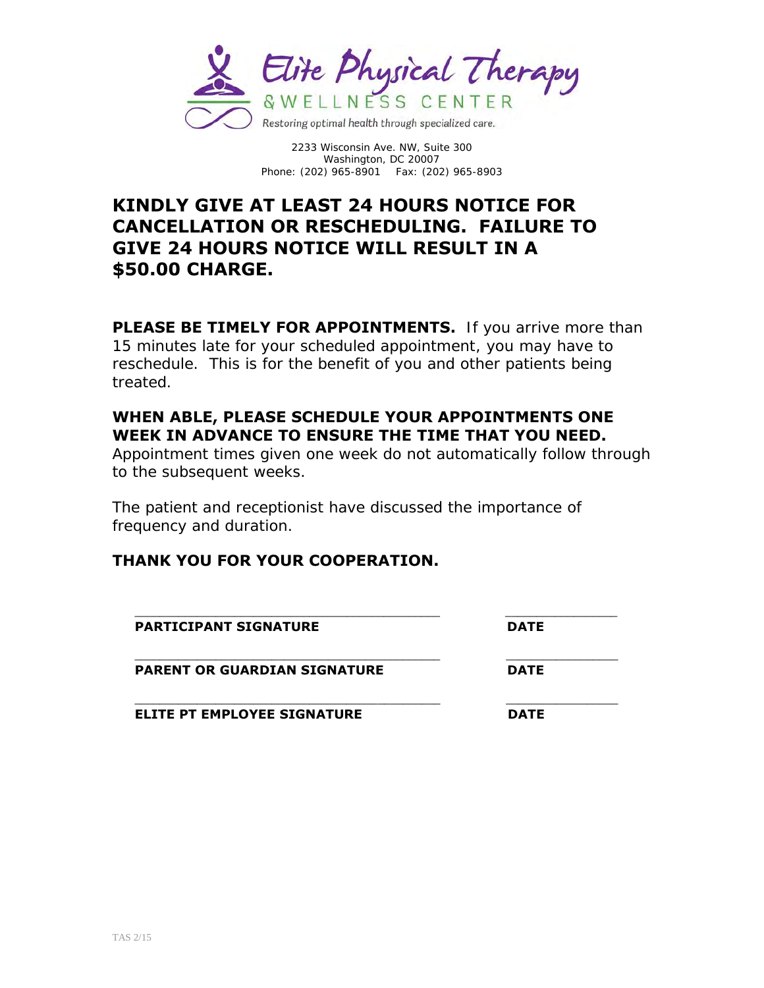

# **KINDLY GIVE AT LEAST 24 HOURS NOTICE FOR CANCELLATION OR RESCHEDULING. FAILURE TO GIVE 24 HOURS NOTICE WILL RESULT IN A \$50.00 CHARGE.**

**PLEASE BE TIMELY FOR APPOINTMENTS.** If you arrive more than 15 minutes late for your scheduled appointment, you may have to reschedule. This is for the benefit of you and other patients being treated.

## **WHEN ABLE, PLEASE SCHEDULE YOUR APPOINTMENTS ONE WEEK IN ADVANCE TO ENSURE THE TIME THAT YOU NEED.**

Appointment times given one week do not automatically follow through to the subsequent weeks.

The patient and receptionist have discussed the importance of frequency and duration.

## **THANK YOU FOR YOUR COOPERATION.**

| <b>PARTICIPANT SIGNATURE</b>        | <b>DATE</b> |
|-------------------------------------|-------------|
| <b>PARENT OR GUARDIAN SIGNATURE</b> | <b>DATE</b> |
| <b>ELITE PT EMPLOYEE SIGNATURE</b>  | <b>DATE</b> |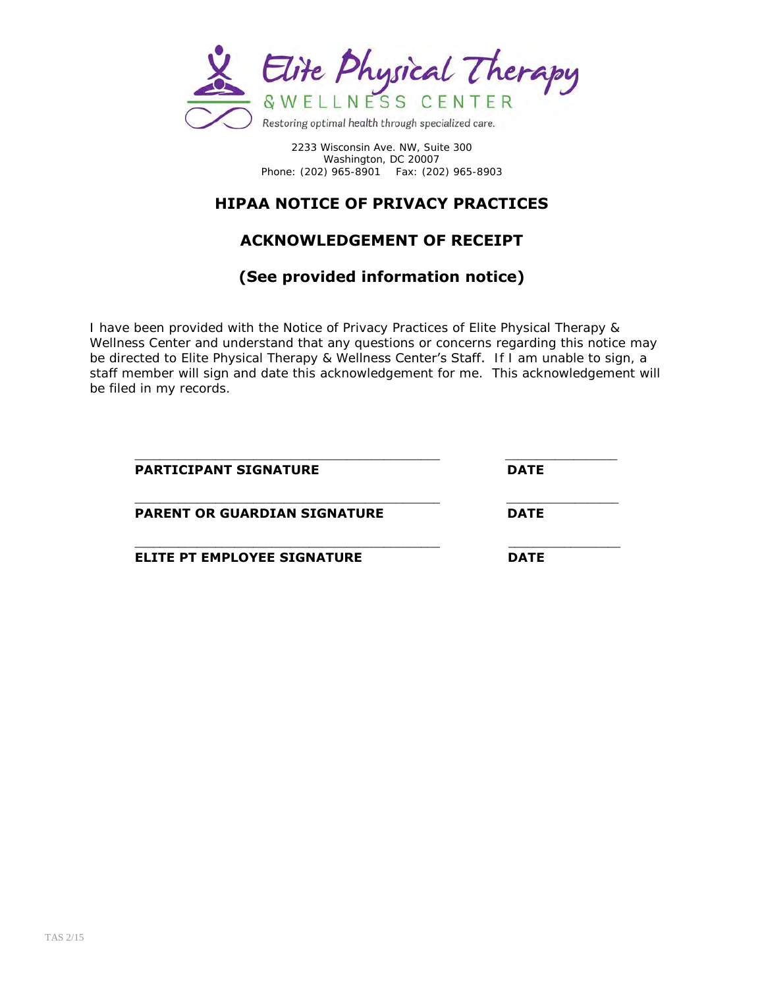

# **HIPAA NOTICE OF PRIVACY PRACTICES**

## **ACKNOWLEDGEMENT OF RECEIPT**

## **(See provided information notice)**

I have been provided with the Notice of Privacy Practices of Elite Physical Therapy & Wellness Center and understand that any questions or concerns regarding this notice may be directed to Elite Physical Therapy & Wellness Center's Staff. If I am unable to sign, a staff member will sign and date this acknowledgement for me. This acknowledgement will be filed in my records.

| <b>PARTICIPANT SIGNATURE</b>        | <b>DATE</b> |
|-------------------------------------|-------------|
| <b>PARENT OR GUARDIAN SIGNATURE</b> | <b>DATE</b> |
| <b>ELITE PT EMPLOYEE SIGNATURE</b>  | <b>DATE</b> |